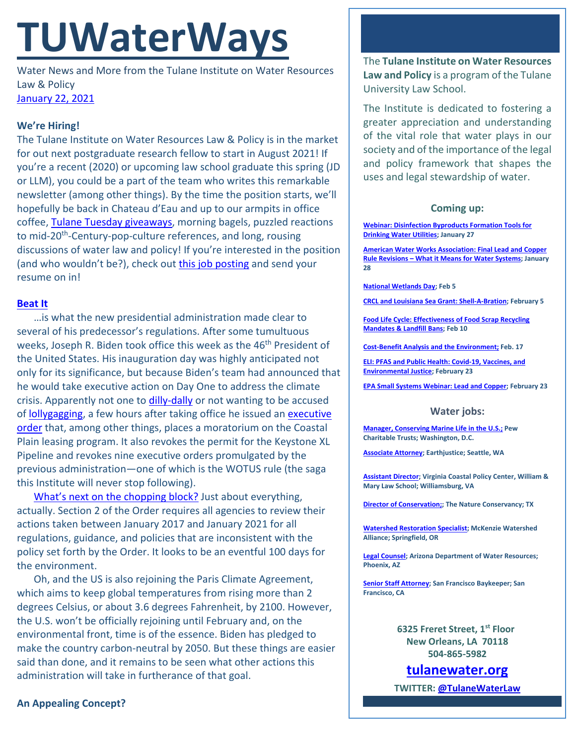# **TUWaterWays**

Water News and More from the Tulane Institute on Water Resources Law & Policy [January 22, 2021](https://thisdayinwaterhistory.wordpress.com/)

## **We're Hiring!**

The Tulane Institute on Water Resources Law & Policy is in the market for out next postgraduate research fellow to start in August 2021! If you're a recent (2020) or upcoming law school graduate this spring (JD or LLM), you could be a part of the team who writes this remarkable newsletter (among other things). By the time the position starts, we'll hopefully be back in Chateau d'Eau and up to our armpits in office coffee, [Tulane Tuesday](https://lbc.tulane.edu/TulaneTuesdayFall2020) giveaways, morning bagels, puzzled reactions to mid-20<sup>th</sup>-Century-pop-culture references, and long, rousing discussions of water law and policy! If you're interested in the position (and who wouldn't be?), check out [this job posting](https://jobs.tulane.edu/position/IRC20158) and send your resume on in!

### **[Beat It](https://www.youtube.com/watch?v=oRdxUFDoQe0&ab_channel=michaeljacksonVEVO)**

…is what the new presidential administration made clear to several of his predecessor's regulations. After some tumultuous weeks, Joseph R. Biden took office this week as the 46<sup>th</sup> President of the United States. His inauguration day was highly anticipated not only for its significance, but because Biden's team had announced that he would take executive action on Day One to address the climate crisis. Apparently not one to [dilly-dally](https://www.youtube.com/watch?v=Vkzkrs6bzxg) or not wanting to be accused o[f lollygagging,](https://www.youtube.com/watch?v=glpsy01TalU) a few hours after taking office he issued an executive [order](https://www.whitehouse.gov/briefing-room/presidential-actions/2021/01/20/executive-order-protecting-public-health-and-environment-and-restoring-science-to-tackle-climate-crisis/) that, among other things, places a moratorium on the Coastal Plain leasing program. It also revokes the permit for the Keystone XL Pipeline and revokes nine executive orders promulgated by the previous administration—one of which is the WOTUS rule (the saga this Institute will never stop following).

[What's next on the chopping block?](https://www.youtube.com/watch?v=DkDfRML7Tck) Just about everything, actually. Section 2 of the Order requires all agencies to review their actions taken between January 2017 and January 2021 for all regulations, guidance, and policies that are inconsistent with the policy set forth by the Order. It looks to be an eventful 100 days for the environment.

Oh, and the US is also rejoining the Paris Climate Agreement, which aims to keep global temperatures from rising more than 2 degrees Celsius, or about 3.6 degrees Fahrenheit, by 2100. However, the U.S. won't be officially rejoining until February and, on the environmental front, time is of the essence. Biden has pledged to make the country carbon-neutral by 2050. But these things are easier said than done, and it remains to be seen what other actions this administration will take in furtherance of that goal.

The **Tulane Institute on Water Resources Law and Policy** is a program of the Tulane University Law School.

The Institute is dedicated to fostering a greater appreciation and understanding of the vital role that water plays in our society and of the importance of the legal and policy framework that shapes the uses and legal stewardship of water.

## **Coming up:**

**[Webinar: Disinfection Byproducts Formation Tools for](https://www.epa.gov/water-research/water-research-webinar-series)  [Drinking Water Utilities;](https://www.epa.gov/water-research/water-research-webinar-series) January 27**

**[American Water Works Association: Final Lead and Copper](https://www.awwa.org/Events-Education/Events-Calendar/mid/11357/OccuranceId/512?ctl=ViewEvent)  Rule Revisions – [What it Means for Water Systems;](https://www.awwa.org/Events-Education/Events-Calendar/mid/11357/OccuranceId/512?ctl=ViewEvent) January 28**

**[National Wetlands Day;](https://www.worldwetlandsday.org/) Feb 5**

**[CRCL and Louisiana Sea Grant: Shell-A-Bration;](https://www.laseagrant.org/event/crcl-shell-a-bration/?instance_id=1070) February 5**

**[Food Life Cycle: Effectiveness of Food Scrap Recycling](https://www.eli.org/events/food-life-cycle-effectiveness-food-scrap-recycling-mandates-landfill-bans)  [Mandates & Landfill Bans;](https://www.eli.org/events/food-life-cycle-effectiveness-food-scrap-recycling-mandates-landfill-bans) Feb 10**

**[Cost-Benefit Analysis and the Environment;](https://www.eli.org/events/cost-benefit-analysis-and-environment) Feb. 17**

**[ELI: PFAS and Public Health: Covid-19, Vaccines, and](https://www.eli.org/events/pfas-public-health-covid-19-vaccines-and-environmental-justice)  [Environmental Justice;](https://www.eli.org/events/pfas-public-health-covid-19-vaccines-and-environmental-justice) February 23**

**[EPA Small Systems Webinar: Lead and Copper;](https://www.epa.gov/water-research/small-systems-monthly-webinar-series) February 23**

#### **Water jobs:**

**[Manager, Conserving Marine Life in the U.S.;](https://jobs-pct.icims.com/jobs/6392/job?mobile=false&width=990&height=500&bga=true&needsRedirect=false&jan1offset=-360&jun1offset=-300) Pew Charitable Trusts; Washington, D.C.**

**[Associate Attorney;](https://jobs.jobvite.com/earthjustice/job/o2Modfw9?nl=1) Earthjustice; Seattle, WA**

**[Assistant Director;](https://jobs.wm.edu/postings/40167) Virginia Coastal Policy Center, William & Mary Law School; Williamsburg, VA**

**[Director of Conservation;;](https://careers.nature.org/psc/tnccareers/APPLICANT/APPL/c/HRS_HRAM_FL.HRS_CG_SEARCH_FL.GBL?Page=HRS_APP_JBPST_FL&Action=U&FOCUS=Applicant&SiteId=1&JobOpeningId=49155&PostingSeq=1&PortalActualURL=https%3a%2f%2fcareers.nature.org%2fpsc%2ftnccareers%2fAPPLICANT%2fAPPL%2fc%2fHRS_HRAM_FL.HRS_CG_SEARCH_FL.GBL%3fPage%3dHRS_APP_JBPST_FL%26Action%3dU%26FOCUS%3dApplicant%26SiteId%3d1%26JobOpeningId%3d49155%26PostingSeq%3d1&PortalRegistryName=APPLICANT&PortalServletURI=https%3a%2f%2fcareers.nature.org%2fpsp%2ftnccareers%2f&PortalURI=https%3a%2f%2fcareers.nature.org%2fpsc%2ftnccareers%2f&PortalHostNode=APPL&NoCrumbs=yes&PortalKeyStruct=yes) The Nature Conservancy; TX**

**[Watershed Restoration Specialist;](https://www.mckenziewc.org/wp-content/uploads/2021/01/Job-Description-Restoration-Specialist_Final-Draft.edited.pdf) McKenzie Watershed Alliance; Springfield, OR**

**[Legal Counsel;](https://www.azstatejobs.gov/jobs/legal-counsel-phoenix-arizona-united-states) Arizona Department of Water Resources; Phoenix, AZ**

**[Senior Staff Attorney;](https://baykeeper.org/about-baykeeper/jobs-and-internships#seniorattorney) San Francisco Baykeeper; San Francisco, CA**

> **6325 Freret Street, 1st Floor New Orleans, LA 70118 504-865-5982**

**tulanewater.org**

**TWITTER[: @TulaneWaterLaw](http://www.twitter.com/TulaneWaterLaw)**

**An Appealing Concept?**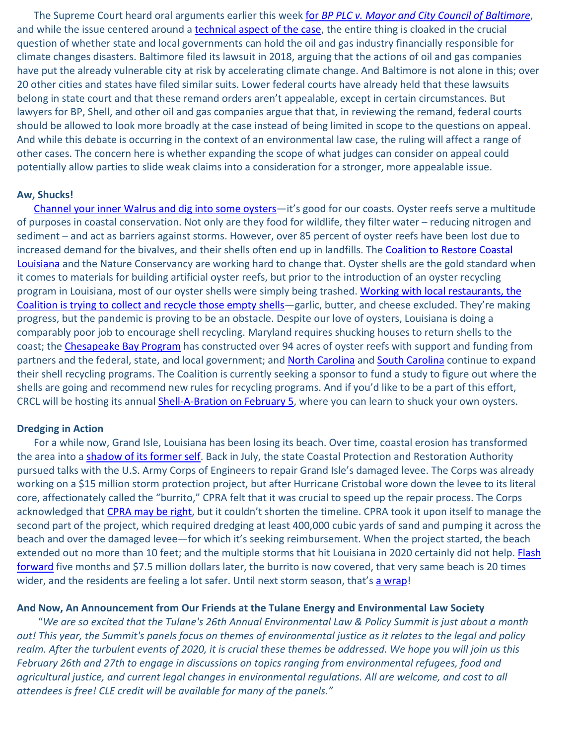The Supreme Court heard oral arguments earlier this week for *BP PLC v. [Mayor and City Council of](https://www.supremecourt.gov/docket/docketfiles/html/public/19-1189.html) Baltimore*, and while the issue centered around a [technical aspect of the case,](https://www.nytimes.com/2021/01/19/climate/supreme-court-baltimore-climate-change.html) the entire thing is cloaked in the crucial question of whether state and local governments can hold the oil and gas industry financially responsible for climate changes disasters. Baltimore filed its lawsuit in 2018, arguing that the actions of oil and gas companies have put the already vulnerable city at risk by accelerating climate change. And Baltimore is not alone in this; over 20 other cities and states have filed similar suits. Lower federal courts have already held that these lawsuits belong in state court and that these remand orders aren't appealable, except in certain circumstances. But lawyers for BP, Shell, and other oil and gas companies argue that that, in reviewing the remand, federal courts should be allowed to look more broadly at the case instead of being limited in scope to the questions on appeal. And while this debate is occurring in the context of an environmental law case, the ruling will affect a range of other cases. The concern here is whether expanding the scope of what judges can consider on appeal could potentially allow parties to slide weak claims into a consideration for a stronger, more appealable issue.

#### **Aw, Shucks!**

[Channel your inner Walrus and dig into some oysters—](https://www.youtube.com/watch?v=00WCEbKM_SE)it's good for our coasts. Oyster reefs serve a multitude of purposes in coastal conservation. Not only are they food for wildlife, they filter water – reducing nitrogen and sediment – and act as barriers against storms. However, over 85 percent of oyster reefs have been lost due to increased demand for the bivalves, and their shells often end up in landfills. The [Coalition to Restore Coastal](https://www.crcl.org/oyster-shell-recycling)  [Louisiana](https://www.crcl.org/oyster-shell-recycling) and the Nature Conservancy are working hard to change that. Oyster shells are the gold standard when it comes to materials for building artificial oyster reefs, but prior to the introduction of an oyster recycling program in Louisiana, most of our oyster shells were simply being trashed. [Working with local restaurants, the](https://www.nola.com/news/environment/article_ef48e4bc-5746-11eb-bced-977d96431355.html)  Coalition is trying to collect and recycle those empty shells-garlic, butter, and cheese excluded. They're making progress, but the pandemic is proving to be an obstacle. Despite our love of oysters, Louisiana is doing a comparably poor job to encourage shell recycling. Maryland requires shucking houses to return shells to the coast; the [Chesapeake Bay Program](https://www.chesapeakebay.net/news/blog/progress_continues_for_oyster_reef_restoration) has constructed over 94 acres of oyster reefs with support and funding from partners and the federal, state, and local government; and [North Carolina](https://www.carolinacoastonline.com/news_times/article_a028cbd0-510c-11eb-803b-df22350f6506.html) and [South Carolina](https://www.pewtrusts.org/en/research-and-analysis/articles/2020/11/24/in-south-carolina-oyster-shell-recycling-helps-rebuild-reefs-with-many-benefits) continue to expand their shell recycling programs. The Coalition is currently seeking a sponsor to fund a study to figure out where the shells are going and recommend new rules for recycling programs. And if you'd like to be a part of this effort, CRCL will be hosting its annual **Shell-A-Bration on February 5**, where you can learn to shuck your own oysters.

#### **Dredging in Action**

For a while now, Grand Isle, Louisiana has been losing its beach. Over time, coastal erosion has transformed the area into a [shadow of its former self.](https://www.youtube.com/watch?v=8UVNT4wvIGY) Back in July, the state Coastal Protection and Restoration Authority pursued talks with the U.S. Army Corps of Engineers to repair Grand Isle's damaged levee. The Corps was already working on a \$15 million storm protection project, but after Hurricane Cristobal wore down the levee to its literal core, affectionately called the "burrito," CPRA felt that it was crucial to speed up the repair process. The Corps acknowledged that [CPRA may be right,](https://www.youtube.com/watch?v=Jo9t5XK0FhA) but it couldn't shorten the timeline. CPRA took it upon itself to manage the second part of the project, which required dredging at least 400,000 cubic yards of sand and pumping it across the beach and over the damaged levee—for which it's seeking reimbursement. When the project started, the beach extended out no more than 10 feet; and the multiple storms that hit Louisiana in 2020 certainly did not help. Flash [forward](https://www.nola.com/news/environment/article_c4dafa48-55ad-11eb-8cd2-2b7c14b80fe7.html) five months and \$7.5 million dollars later, the burrito is now covered, that very same beach is 20 times wider, and the residents are feeling a lot safer. Until next storm season, that's [a wrap!](https://thesocietypages.org/socimages/2012/08/07/marketing-language-wraps-vs-tortillas/)

#### **And Now, An Announcement from Our Friends at the Tulane Energy and Environmental Law Society**

"*We are so excited that the Tulane's 26th Annual Environmental Law & Policy Summit is just about a month out! This year, the Summit's panels focus on themes of environmental justice as it relates to the legal and policy realm. After the turbulent events of 2020, it is crucial these themes be addressed. We hope you will join us this February 26th and 27th to engage in discussions on topics ranging from environmental refugees, food and*  agricultural justice, and current legal changes in environmental regulations. All are welcome, and cost to all *attendees is free! CLE credit will be available for many of the panels."*